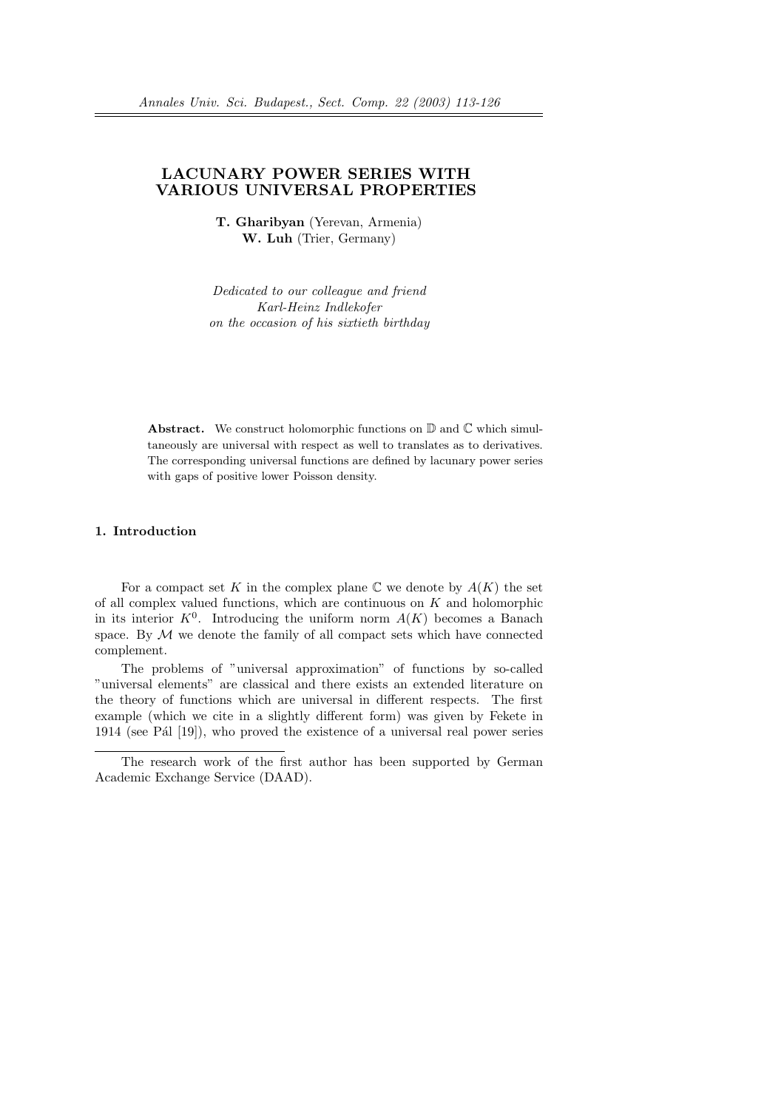# LACUNARY POWER SERIES WITH VARIOUS UNIVERSAL PROPERTIES

T. Gharibyan (Yerevan, Armenia) W. Luh (Trier, Germany)

Dedicated to our colleague and friend Karl-Heinz Indlekofer on the occasion of his sixtieth birthday

**Abstract.** We construct holomorphic functions on  $\mathbb{D}$  and  $\mathbb{C}$  which simultaneously are universal with respect as well to translates as to derivatives. The corresponding universal functions are defined by lacunary power series with gaps of positive lower Poisson density.

### 1. Introduction

For a compact set K in the complex plane  $\mathbb C$  we denote by  $A(K)$  the set of all complex valued functions, which are continuous on  $K$  and holomorphic in its interior  $K^0$ . Introducing the uniform norm  $A(K)$  becomes a Banach space. By  $M$  we denote the family of all compact sets which have connected complement.

The problems of "universal approximation" of functions by so-called "universal elements" are classical and there exists an extended literature on the theory of functions which are universal in different respects. The first example (which we cite in a slightly different form) was given by Fekete in 1914 (see Pál [19]), who proved the existence of a universal real power series

The research work of the first author has been supported by German Academic Exchange Service (DAAD).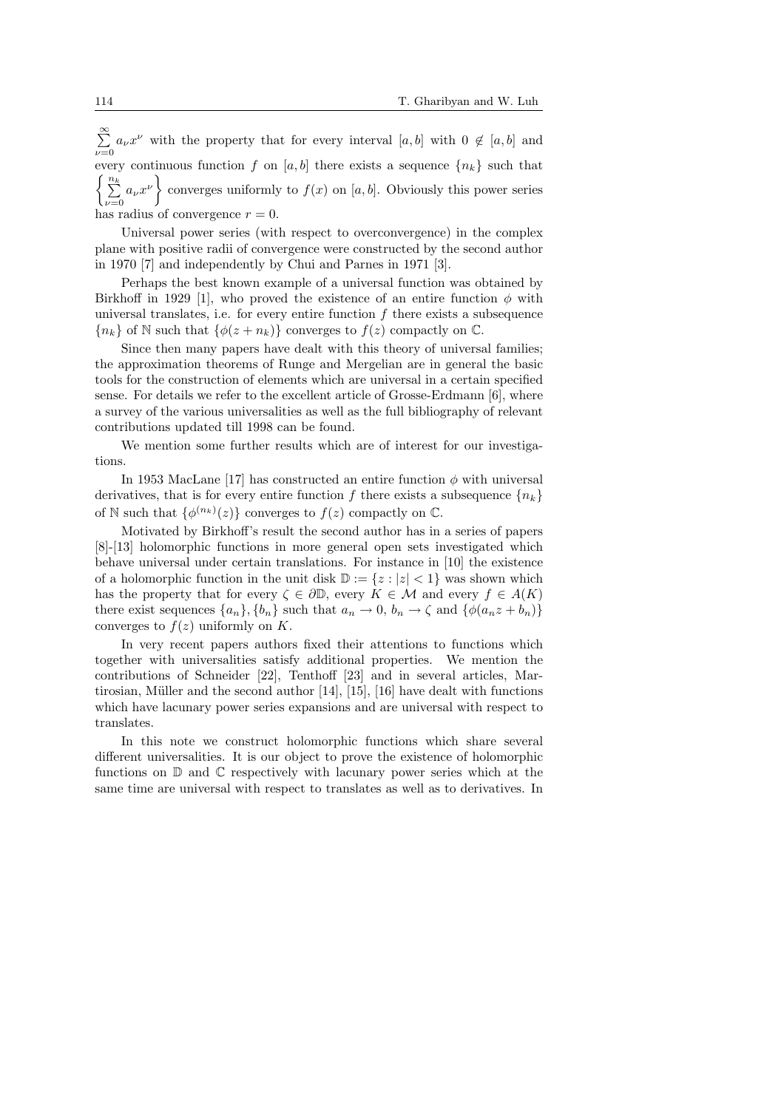$\approx$  $\sum_{\nu=0} a_{\nu} x^{\nu}$  with the property that for every interval  $[a, b]$  with  $0 \notin [a, b]$  and every continuous function f on [a, b] there exists a sequence  $\{n_k\}$  such that  $\frac{1}{2}$  $\sum_{\nu=0}^{\infty} a_{\nu} x^{\nu}$  converges uniformly to  $f(x)$  on [a, b]. Obviously this power series has radius of convergence  $r = 0$ .

Universal power series (with respect to overconvergence) in the complex plane with positive radii of convergence were constructed by the second author in 1970 [7] and independently by Chui and Parnes in 1971 [3].

Perhaps the best known example of a universal function was obtained by Birkhoff in 1929 [1], who proved the existence of an entire function  $\phi$  with universal translates, i.e. for every entire function  $f$  there exists a subsequence  ${n_k}$  of N such that  ${\phi(z+n_k)}$  converges to  $f(z)$  compactly on  $\mathbb{C}$ .

Since then many papers have dealt with this theory of universal families; the approximation theorems of Runge and Mergelian are in general the basic tools for the construction of elements which are universal in a certain specified sense. For details we refer to the excellent article of Grosse-Erdmann [6], where a survey of the various universalities as well as the full bibliography of relevant contributions updated till 1998 can be found.

We mention some further results which are of interest for our investigations.

In 1953 MacLane [17] has constructed an entire function  $\phi$  with universal derivatives, that is for every entire function f there exists a subsequence  ${n_k}$ of N such that  $\{\phi^{(n_k)}(z)\}\)$  converges to  $f(z)$  compactly on  $\mathbb{C}$ .

Motivated by Birkhoff's result the second author has in a series of papers [8]-[13] holomorphic functions in more general open sets investigated which behave universal under certain translations. For instance in [10] the existence of a holomorphic function in the unit disk  $\mathbb{D} := \{z : |z| < 1\}$  was shown which has the property that for every  $\zeta \in \partial \mathbb{D}$ , every  $K \in \mathcal{M}$  and every  $f \in A(K)$ there exist sequences  $\{a_n\}, \{b_n\}$  such that  $a_n \to 0, b_n \to \zeta$  and  $\{\phi(a_nz+b_n)\}\$ converges to  $f(z)$  uniformly on K.

In very recent papers authors fixed their attentions to functions which together with universalities satisfy additional properties. We mention the contributions of Schneider [22], Tenthoff [23] and in several articles, Martirosian, Müller and the second author  $[14]$ ,  $[15]$ ,  $[16]$  have dealt with functions which have lacunary power series expansions and are universal with respect to translates.

In this note we construct holomorphic functions which share several different universalities. It is our object to prove the existence of holomorphic functions on  $\mathbb D$  and  $\mathbb C$  respectively with lacunary power series which at the same time are universal with respect to translates as well as to derivatives. In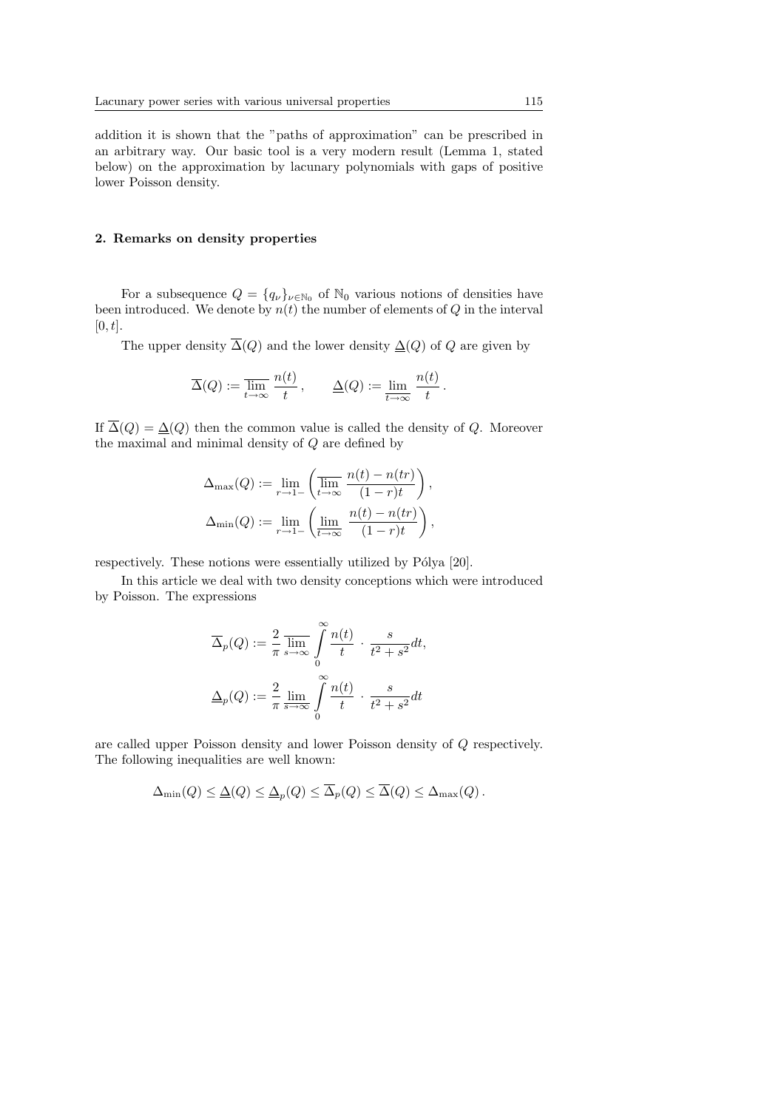addition it is shown that the "paths of approximation" can be prescribed in an arbitrary way. Our basic tool is a very modern result (Lemma 1, stated below) on the approximation by lacunary polynomials with gaps of positive lower Poisson density.

### 2. Remarks on density properties

For a subsequence  $Q = \{q_{\nu}\}_{\nu \in \mathbb{N}_0}$  of  $\mathbb{N}_0$  various notions of densities have been introduced. We denote by  $n(t)$  the number of elements of Q in the interval  $[0, t]$ .

The upper density  $\overline{\Delta}(Q)$  and the lower density  $\underline{\Delta}(Q)$  of Q are given by

$$
\overline{\Delta}(Q) := \overline{\lim_{t \to \infty}} \, \frac{n(t)}{t}, \qquad \underline{\Delta}(Q) := \underline{\lim_{t \to \infty}} \, \frac{n(t)}{t}.
$$

If  $\overline{\Delta}(Q) = \underline{\Delta}(Q)$  then the common value is called the density of Q. Moreover the maximal and minimal density of Q are defined by

$$
\Delta_{\max}(Q) := \lim_{r \to 1-} \left( \overline{\lim}_{t \to \infty} \frac{n(t) - n(tr)}{(1 - r)t} \right),
$$
  

$$
\Delta_{\min}(Q) := \lim_{r \to 1-} \left( \underline{\lim}_{t \to \infty} \frac{n(t) - n(tr)}{(1 - r)t} \right),
$$

respectively. These notions were essentially utilized by Pólya [20].

In this article we deal with two density conceptions which were introduced by Poisson. The expressions

$$
\overline{\Delta}_p(Q) := \frac{2}{\pi} \overline{\lim}_{s \to \infty} \int_0^\infty \frac{n(t)}{t} \cdot \frac{s}{t^2 + s^2} dt,
$$
  

$$
\underline{\Delta}_p(Q) := \frac{2}{\pi} \overline{\lim}_{s \to \infty} \int_0^\infty \frac{n(t)}{t} \cdot \frac{s}{t^2 + s^2} dt
$$

are called upper Poisson density and lower Poisson density of Q respectively. The following inequalities are well known:

$$
\Delta_{\min}(Q) \leq \underline{\Delta}(Q) \leq \underline{\Delta}_p(Q) \leq \overline{\Delta}_p(Q) \leq \overline{\Delta}(Q) \leq \Delta_{\max}(Q).
$$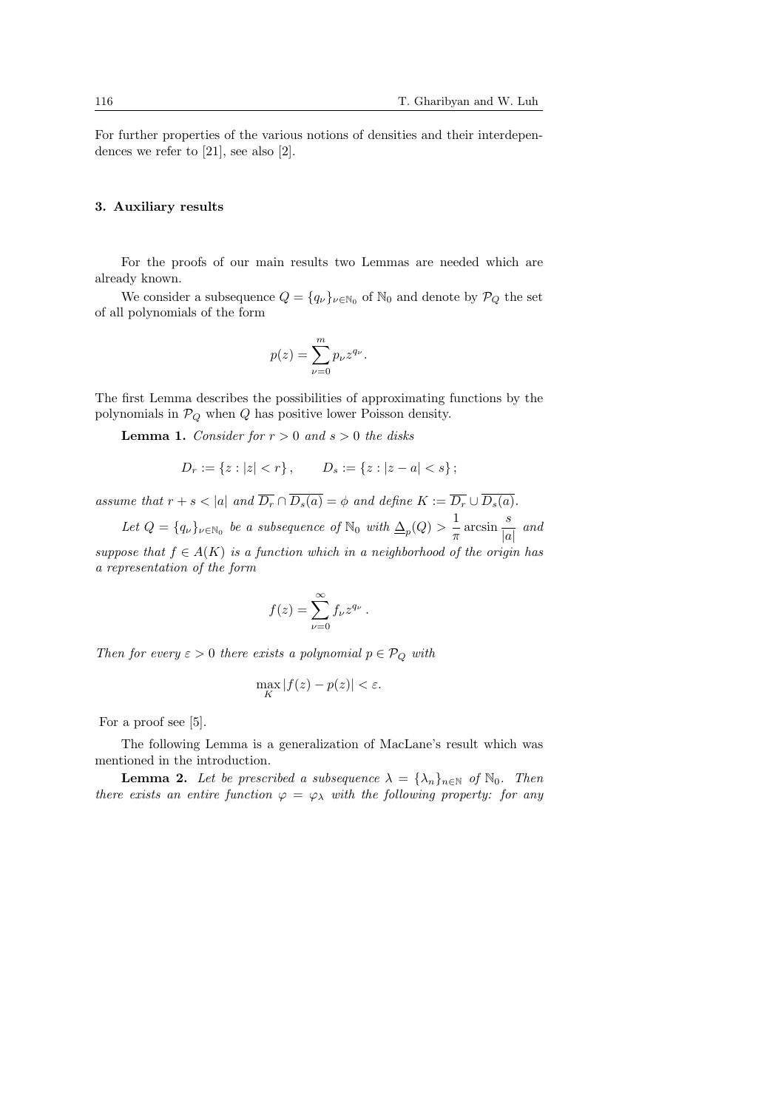For further properties of the various notions of densities and their interdependences we refer to [21], see also [2].

### 3. Auxiliary results

For the proofs of our main results two Lemmas are needed which are already known.

We consider a subsequence  $Q = \{q_{\nu}\}_{\nu \in \mathbb{N}_0}$  of  $\mathbb{N}_0$  and denote by  $\mathcal{P}_Q$  the set of all polynomials of the form

$$
p(z) = \sum_{\nu=0}^{m} p_{\nu} z^{q_{\nu}}.
$$

The first Lemma describes the possibilities of approximating functions by the polynomials in  $\mathcal{P}_Q$  when  $Q$  has positive lower Poisson density.

**Lemma 1.** Consider for  $r > 0$  and  $s > 0$  the disks

$$
D_r := \{ z : |z| < r \}, \qquad D_s := \{ z : |z - a| < s \};
$$

assume that  $r + s < |a|$  and  $\overline{D_r} \cap \overline{D_s(a)} = \phi$  and define  $K := \overline{D_r} \cup \overline{D_s(a)}$ .

Let  $Q = \{q_\nu\}_{\nu \in \mathbb{N}_0}$  be a subsequence of  $\mathbb{N}_0$  with  $\underline{\Delta}_p(Q) > \frac{1}{\pi}$  $rac{1}{\pi} \arcsin \frac{s}{|a|}$  $\frac{b}{|a|}$  and suppose that  $f \in A(K)$  is a function which in a neighborhood of the origin has a representation of the form

$$
f(z) = \sum_{\nu=0}^{\infty} f_{\nu} z^{q_{\nu}}.
$$

Then for every  $\varepsilon > 0$  there exists a polynomial  $p \in \mathcal{P}_Q$  with

$$
\max_{K} |f(z) - p(z)| < \varepsilon.
$$

For a proof see [5].

The following Lemma is a generalization of MacLane's result which was mentioned in the introduction.

**Lemma 2.** Let be prescribed a subsequence  $\lambda = {\lambda_n}_{n \in \mathbb{N}}$  of  $\mathbb{N}_0$ . Then there exists an entire function  $\varphi = \varphi_{\lambda}$  with the following property: for any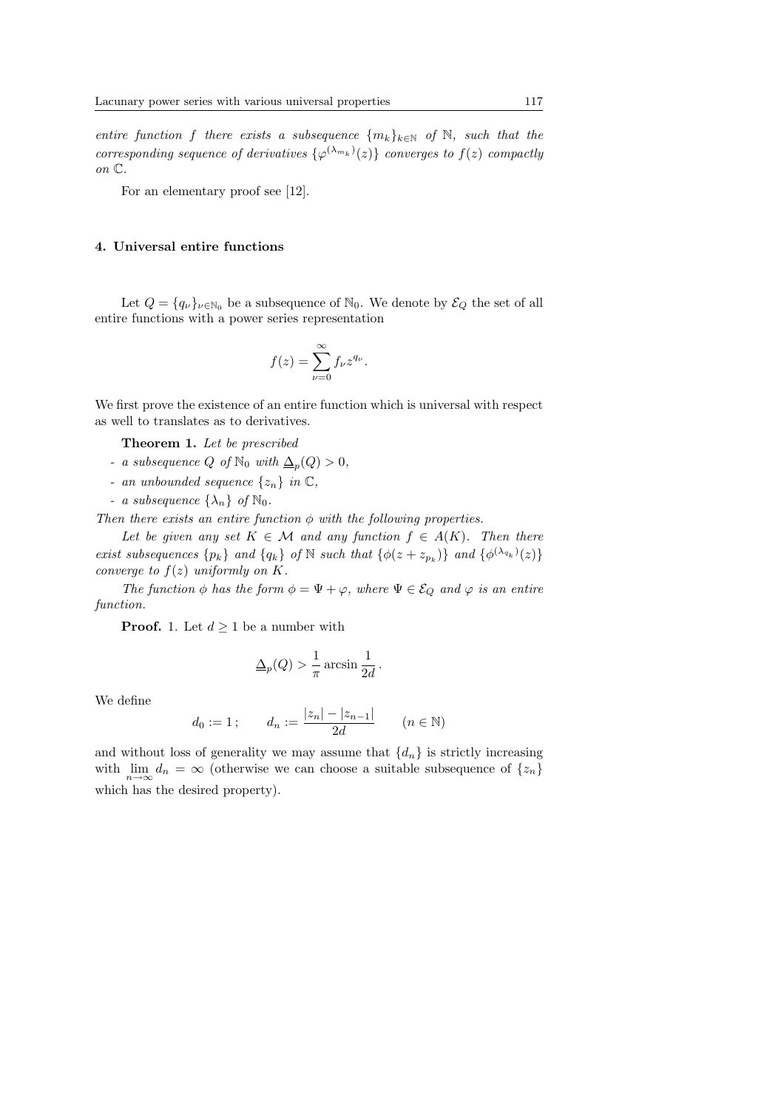entire function f there exists a subsequence  $\{m_k\}_{k\in\mathbb{N}}$  of N, such that the corresponding sequence of derivatives  $\{\varphi^{(\lambda_{m_k})}(z)\}\)$  converges to  $f(z)\)$  compactly on C.

For an elementary proof see [12].

## 4. Universal entire functions

Let  $Q = \{q_{\nu}\}_{\nu \in \mathbb{N}_0}$  be a subsequence of  $\mathbb{N}_0$ . We denote by  $\mathcal{E}_Q$  the set of all entire functions with a power series representation

$$
f(z) = \sum_{\nu=0}^{\infty} f_{\nu} z^{q_{\nu}}.
$$

We first prove the existence of an entire function which is universal with respect as well to translates as to derivatives.

Theorem 1. Let be prescribed

- a subsequence Q of  $\mathbb{N}_0$  with  $\Delta_p(Q) > 0$ ,
- an unbounded sequence  $\{z_n\}$  in  $\mathbb{C}$ ,
- a subsequence  $\{\lambda_n\}$  of  $\mathbb{N}_0$ .

Then there exists an entire function  $\phi$  with the following properties.

Let be given any set  $K \in \mathcal{M}$  and any function  $f \in A(K)$ . Then there exist subsequences  $\{p_k\}$  and  $\{q_k\}$  of N such that  $\{\phi(z+z_{p_k})\}$  and  $\{\phi^{(\lambda_{q_k})}(z)\}$ converge to  $f(z)$  uniformly on K.

The function  $\phi$  has the form  $\phi = \Psi + \varphi$ , where  $\Psi \in \mathcal{E}_Q$  and  $\varphi$  is an entire function.

**Proof.** 1. Let  $d \geq 1$  be a number with

$$
\underline{\Delta}_p(Q) > \frac{1}{\pi} \arcsin \frac{1}{2d}.
$$

We define

$$
d_0 := 1;
$$
  $d_n := \frac{|z_n| - |z_{n-1}|}{2d}$   $(n \in \mathbb{N})$ 

and without loss of generality we may assume that  $\{d_n\}$  is strictly increasing with  $\lim_{n\to\infty} d_n = \infty$  (otherwise we can choose a suitable subsequence of  $\{z_n\}$ which has the desired property).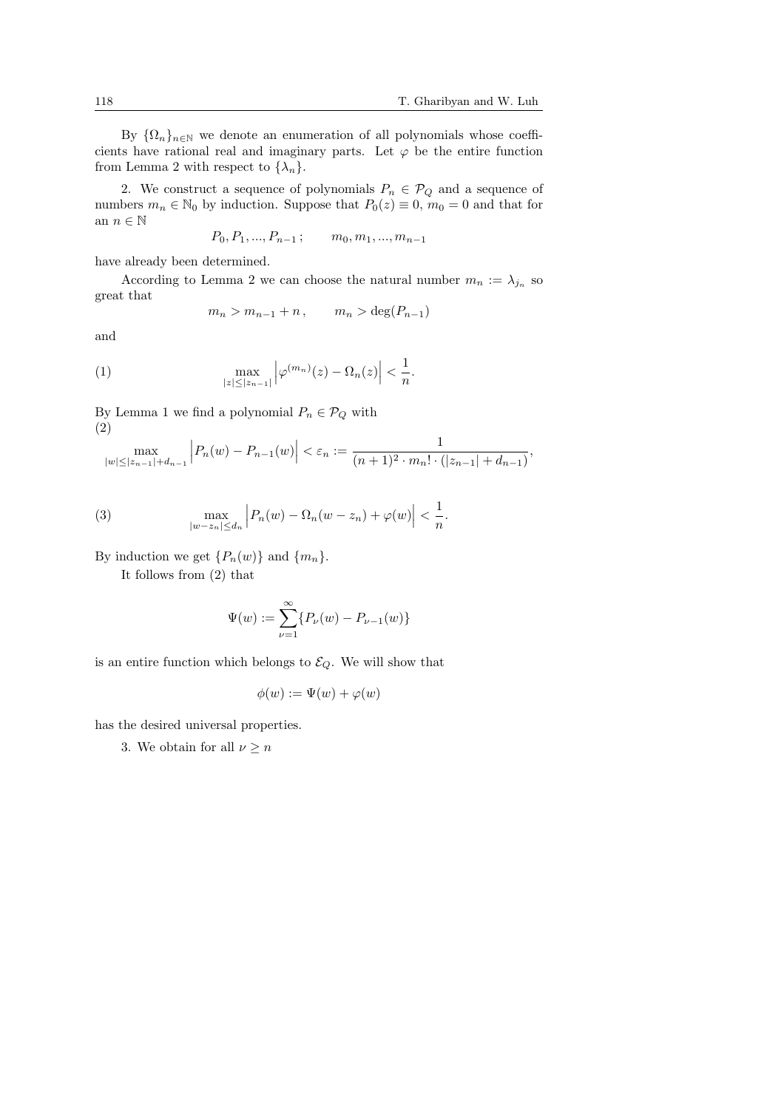By  $\{\Omega_n\}_{n\in\mathbb{N}}$  we denote an enumeration of all polynomials whose coefficients have rational real and imaginary parts. Let  $\varphi$  be the entire function from Lemma 2 with respect to  $\{\lambda_n\}$ .

2. We construct a sequence of polynomials  $P_n \in \mathcal{P}_Q$  and a sequence of numbers  $m_n \in \mathbb{N}_0$  by induction. Suppose that  $P_0(z) \equiv 0$ ,  $m_0 = 0$  and that for an  $n \in \mathbb{N}$ 

$$
P_0, P_1, ..., P_{n-1}; \qquad m_0, m_1, ..., m_{n-1}
$$

have already been determined.

According to Lemma 2 we can choose the natural number  $m_n := \lambda_{j_n}$  so great that

$$
m_n > m_{n-1} + n, \qquad m_n > \deg(P_{n-1})
$$

and

(1) 
$$
\max_{|z| \leq |z_{n-1}|} |\varphi^{(m_n)}(z) - \Omega_n(z)| < \frac{1}{n}.
$$

By Lemma 1 we find a polynomial  $P_n \in \mathcal{P}_Q$  with (2)  $\overline{a}$  $\overline{a}$ 

$$
\max_{|w| \le |z_{n-1}| + d_{n-1}} \left| P_n(w) - P_{n-1}(w) \right| < \varepsilon_n := \frac{1}{(n+1)^2 \cdot m_n! \cdot (|z_{n-1}| + d_{n-1})},
$$

(3) 
$$
\max_{|w-z_n| \le d_n} \left| P_n(w) - \Omega_n(w-z_n) + \varphi(w) \right| < \frac{1}{n}.
$$

By induction we get  $\{P_n(w)\}\$  and  $\{m_n\}.$ 

It follows from (2) that

$$
\Psi(w) := \sum_{\nu=1}^{\infty} \{ P_{\nu}(w) - P_{\nu-1}(w) \}
$$

is an entire function which belongs to  $\mathcal{E}_Q$ . We will show that

$$
\phi(w) := \Psi(w) + \varphi(w)
$$

has the desired universal properties.

3. We obtain for all  $\nu \geq n$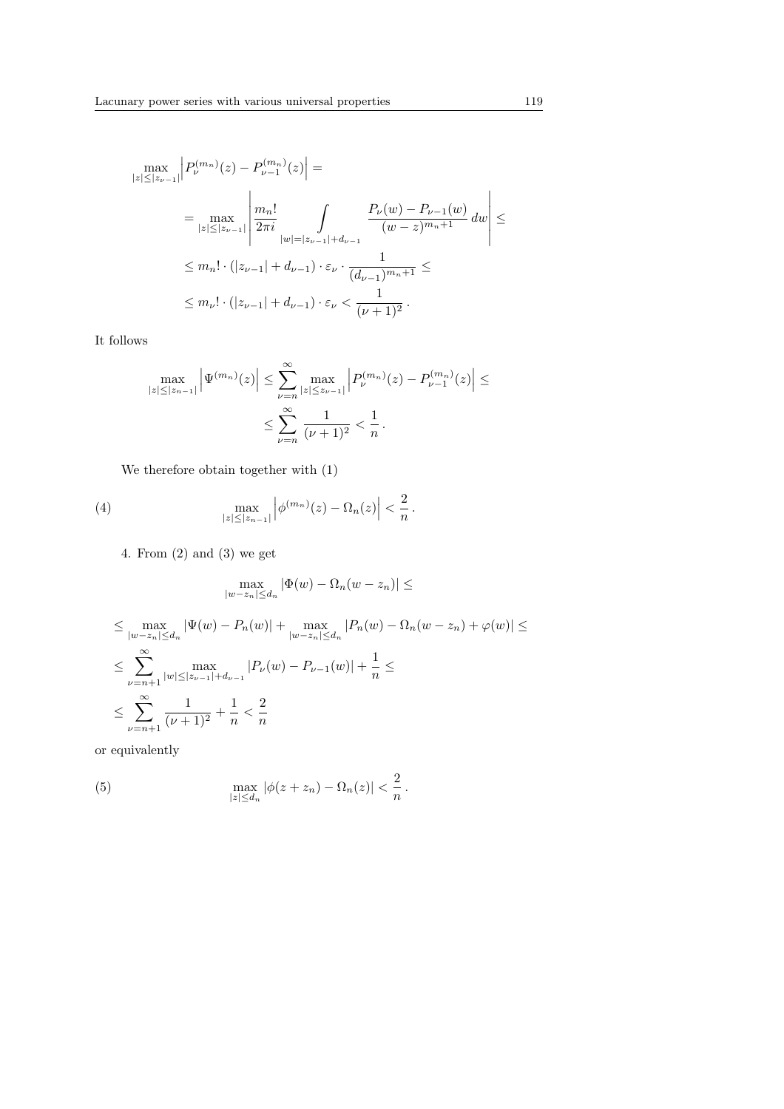$$
\max_{|z| \leq |z_{\nu-1}|} \left| P_{\nu}^{(m_n)}(z) - P_{\nu-1}^{(m_n)}(z) \right| =
$$
\n
$$
= \max_{|z| \leq |z_{\nu-1}|} \left| \frac{m_n!}{2\pi i} \int_{|w|=|z_{\nu-1}| + d_{\nu-1}} \frac{P_{\nu}(w) - P_{\nu-1}(w)}{(w-z)^{m_n+1}} dw \right| \leq
$$
\n
$$
\leq m_n! \cdot (|z_{\nu-1}| + d_{\nu-1}) \cdot \varepsilon_{\nu} \cdot \frac{1}{(d_{\nu-1})^{m_n+1}} \leq
$$
\n
$$
\leq m_{\nu}! \cdot (|z_{\nu-1}| + d_{\nu-1}) \cdot \varepsilon_{\nu} < \frac{1}{(\nu+1)^2}.
$$

It follows

$$
\max_{|z| \le |z_{n-1}|} \left| \Psi^{(m_n)}(z) \right| \le \sum_{\nu=n}^{\infty} \max_{|z| \le z_{\nu-1}|} \left| P_{\nu}^{(m_n)}(z) - P_{\nu-1}^{(m_n)}(z) \right| \le
$$
  

$$
\le \sum_{\nu=n}^{\infty} \frac{1}{(\nu+1)^2} < \frac{1}{n}.
$$

We therefore obtain together with (1)

(4) 
$$
\max_{|z| \leq |z_{n-1}|} |\phi^{(m_n)}(z) - \Omega_n(z)| < \frac{2}{n}.
$$

4. From (2) and (3) we get

$$
\max_{|w-z_n|\le d_n} |\Phi(w) - \Omega_n(w-z_n)| \le
$$

 $\leq \max_{|w-z_n| \leq d_n} |\Psi(w) - P_n(w)| + \max_{|w-z_n| \leq d_n} |P_n(w) - \Omega_n(w-z_n) + \varphi(w)| \leq$ ≤  $\approx$  $\nu = n+1$  $\max_{|w| \leq |z_{\nu-1}| + d_{\nu-1}} |P_{\nu}(w) - P_{\nu-1}(w)| + \frac{1}{n}$  $\frac{1}{n} \leq$ ≤  $\approx$  $\nu = n+1$ 1  $\frac{1}{(\nu+1)^2} + \frac{1}{n}$  $\frac{1}{n} < \frac{2}{n}$ n

or equivalently

(5) 
$$
\max_{|z| \le d_n} |\phi(z + z_n) - \Omega_n(z)| < \frac{2}{n}.
$$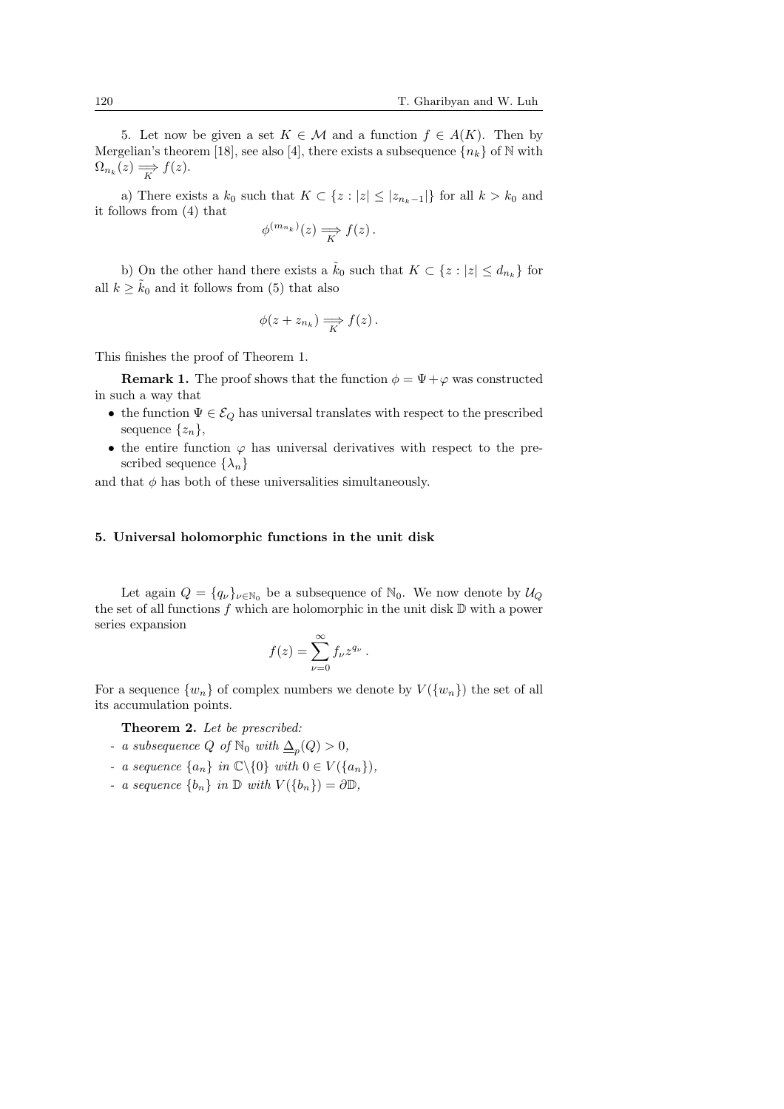5. Let now be given a set  $K \in \mathcal{M}$  and a function  $f \in A(K)$ . Then by Mergelian's theorem [18], see also [4], there exists a subsequence  ${n_k}$  of N with  $\Omega_{n_k}(z) \Longrightarrow f(z).$ 

a) There exists a  $k_0$  such that  $K \subset \{z : |z| \le |z_{n_k-1}|\}$  for all  $k > k_0$  and it follows from (4) that

$$
\phi^{(m_{n_k})}(z) \Longrightarrow f(z).
$$

b) On the other hand there exists a  $\tilde{k}_0$  such that  $K \subset \{z : |z| \le d_{n_k}\}\)$  for all  $k \geq \tilde{k}_0$  and it follows from (5) that also

$$
\phi(z+z_{n_k})\Longrightarrow_{K}f(z).
$$

This finishes the proof of Theorem 1.

**Remark 1.** The proof shows that the function  $\phi = \Psi + \varphi$  was constructed in such a way that

- the function  $\Psi \in \mathcal{E}_Q$  has universal translates with respect to the prescribed sequence  $\{z_n\},\$
- the entire function  $\varphi$  has universal derivatives with respect to the prescribed sequence  $\{\lambda_n\}$

and that  $\phi$  has both of these universalities simultaneously.

#### 5. Universal holomorphic functions in the unit disk

Let again  $Q = \{q_\nu\}_{\nu \in \mathbb{N}_0}$  be a subsequence of  $\mathbb{N}_0$ . We now denote by  $\mathcal{U}_Q$ the set of all functions f which are holomorphic in the unit disk  $\mathbb D$  with a power series expansion

$$
f(z) = \sum_{\nu=0}^{\infty} f_{\nu} z^{q_{\nu}}.
$$

For a sequence  $\{w_n\}$  of complex numbers we denote by  $V(\{w_n\})$  the set of all its accumulation points.

Theorem 2. Let be prescribed:

- a subsequence Q of  $\mathbb{N}_0$  with  $\Delta_p(Q) > 0$ ,
- a sequence  $\{a_n\}$  in  $\mathbb{C}\backslash\{0\}$  with  $0 \in V(\{a_n\}),$
- a sequence  $\{b_n\}$  in  $\mathbb D$  with  $V(\{b_n\}) = \partial \mathbb D$ ,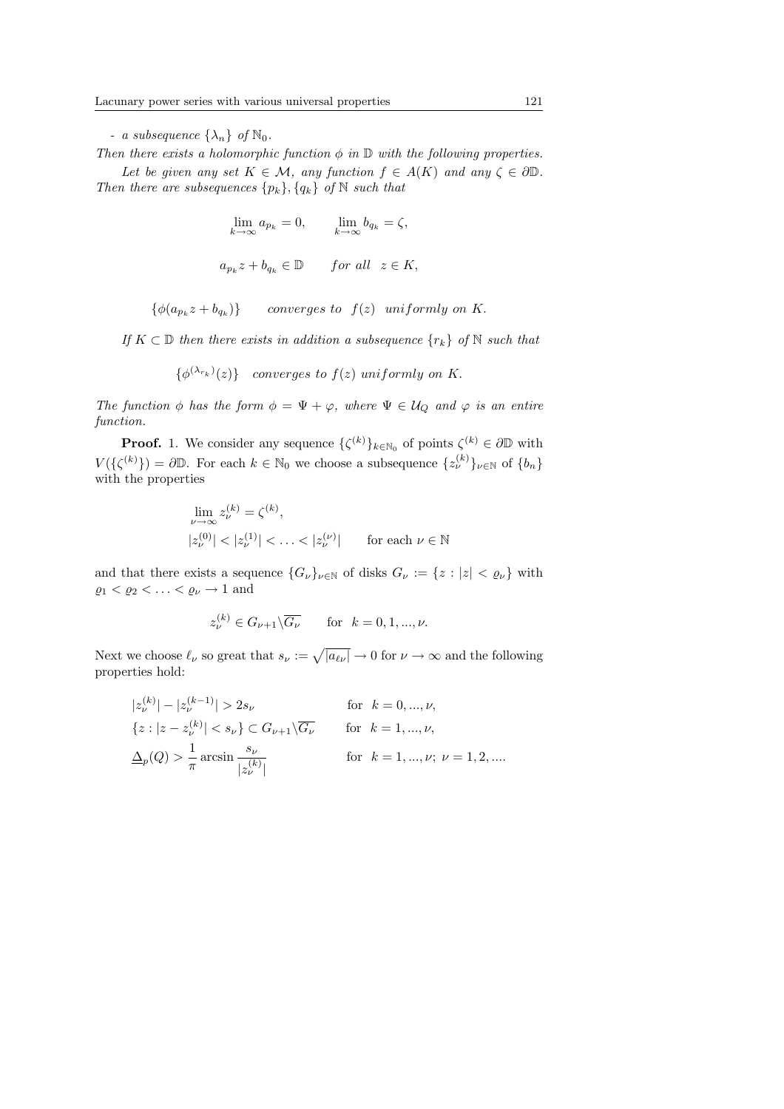- a subsequence  $\{\lambda_n\}$  of  $\mathbb{N}_0$ .

Then there exists a holomorphic function  $\phi$  in  $\mathbb D$  with the following properties.

Let be given any set  $K \in \mathcal{M}$ , any function  $f \in A(K)$  and any  $\zeta \in \partial \mathbb{D}$ . Then there are subsequences  $\{p_k\}, \{q_k\}$  of N such that

$$
\lim_{k \to \infty} a_{p_k} = 0, \qquad \lim_{k \to \infty} b_{q_k} = \zeta,
$$
  

$$
a_{p_k} z + b_{q_k} \in \mathbb{D} \qquad \text{for all} \ \ z \in K,
$$

 $\{\phi(a_{p_k}z + b_{q_k})\}$  converges to  $f(z)$  uniformly on K.

If  $K \subset \mathbb{D}$  then there exists in addition a subsequence  $\{r_k\}$  of N such that

 $\{\phi^{(\lambda_{r_k})}(z)\}\$  converges to  $f(z)$  uniformly on K.

The function  $\phi$  has the form  $\phi = \Psi + \varphi$ , where  $\Psi \in \mathcal{U}_Q$  and  $\varphi$  is an entire function.

**Proof.** 1. We consider any sequence  $\{\zeta^{(k)}\}_{k \in \mathbb{N}_0}$  of points  $\zeta^{(k)} \in \partial \mathbb{D}$  with  $V(\{\zeta^{(k)}\}) = \partial \mathbb{D}$ . For each  $k \in \mathbb{N}_0$  we choose a subsequence  $\{z_{\nu}^{(k)}\}_{\nu \in \mathbb{N}}$  of  $\{b_n\}$ with the properties

$$
\lim_{\nu \to \infty} z_{\nu}^{(k)} = \zeta^{(k)},
$$
  

$$
|z_{\nu}^{(0)}| < |z_{\nu}^{(1)}| < \ldots < |z_{\nu}^{(\nu)}| \quad \text{for each } \nu \in \mathbb{N}
$$

and that there exists a sequence  ${G_\nu}_{\nu \in \mathbb{N}}$  of disks  $G_\nu := \{z : |z| < \varrho_\nu\}$  with  $\varrho_1 < \varrho_2 < \ldots < \varrho_\nu \to 1$  and

$$
z_\nu^{(k)}\in G_{\nu+1}\backslash\overline{G_\nu}\qquad\text{for}\ \ k=0,1,...,\nu.
$$

Next we choose  $\ell_{\nu}$  so great that  $s_{\nu} := \sqrt{|a_{\ell\nu}|} \to 0$  for  $\nu \to \infty$  and the following properties hold:

$$
|z_{\nu}^{(k)}| - |z_{\nu}^{(k-1)}| > 2s_{\nu} \quad \text{for } k = 0, ..., \nu,
$$
  

$$
\{z : |z - z_{\nu}^{(k)}| < s_{\nu}\} \subset G_{\nu+1} \setminus \overline{G_{\nu}} \quad \text{for } k = 1, ..., \nu,
$$
  

$$
\underline{\Delta}_p(Q) > \frac{1}{\pi} \arcsin \frac{s_{\nu}}{|z_{\nu}^{(k)}|} \quad \text{for } k = 1, ..., \nu; \ \nu = 1, 2, ....
$$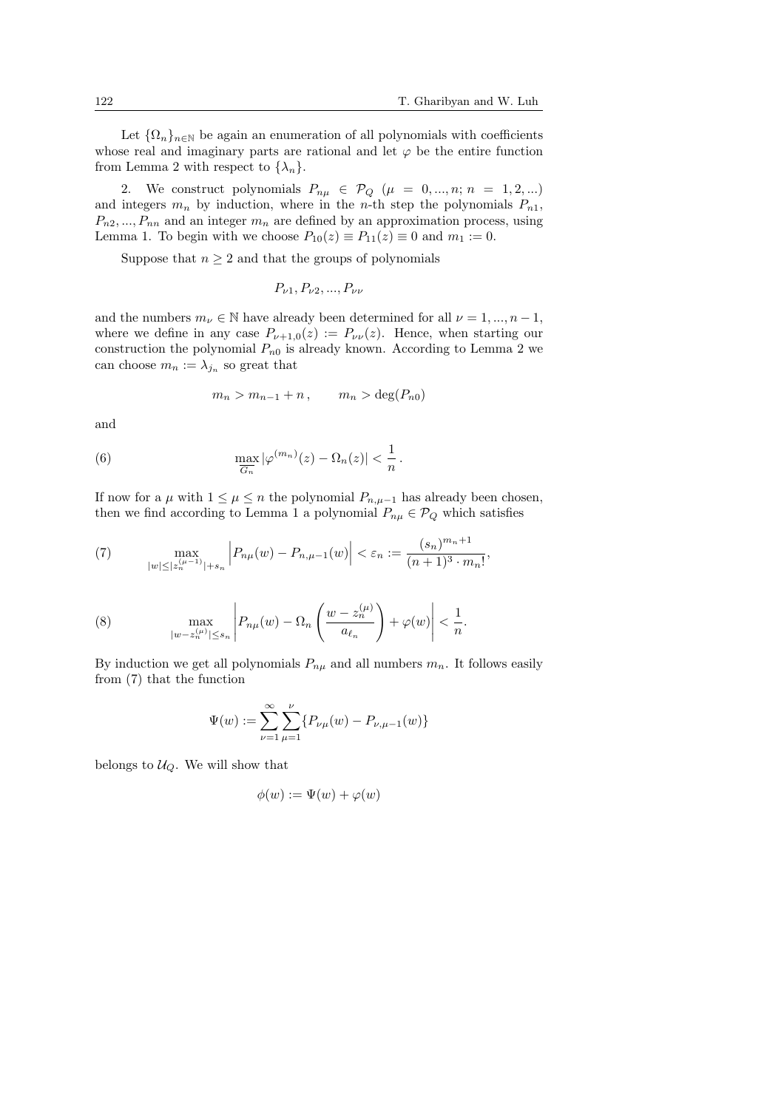Let  $\{\Omega_n\}_{n\in\mathbb{N}}$  be again an enumeration of all polynomials with coefficients whose real and imaginary parts are rational and let  $\varphi$  be the entire function from Lemma 2 with respect to  $\{\lambda_n\}$ .

2. We construct polynomials  $P_{n\mu} \in \mathcal{P}_Q$  ( $\mu = 0, ..., n; n = 1, 2, ...$ ) and integers  $m_n$  by induction, where in the *n*-th step the polynomials  $P_{n1}$ ,  $P_{n2},..., P_{nn}$  and an integer  $m_n$  are defined by an approximation process, using Lemma 1. To begin with we choose  $P_{10}(z) \equiv P_{11}(z) \equiv 0$  and  $m_1 := 0$ .

Suppose that  $n \geq 2$  and that the groups of polynomials

$$
P_{\nu 1}, P_{\nu 2}, ..., P_{\nu \nu}
$$

and the numbers  $m_{\nu} \in \mathbb{N}$  have already been determined for all  $\nu = 1, ..., n-1$ , where we define in any case  $P_{\nu+1,0}(z) := P_{\nu}(z)$ . Hence, when starting our construction the polynomial  $P_{n0}$  is already known. According to Lemma 2 we can choose  $m_n := \lambda_{j_n}$  so great that

$$
m_n > m_{n-1} + n, \qquad m_n > \deg(P_{n0})
$$

and

(6) 
$$
\max_{\overline{G_n}} |\varphi^{(m_n)}(z) - \Omega_n(z)| < \frac{1}{n}.
$$

If now for a  $\mu$  with  $1 \leq \mu \leq n$  the polynomial  $P_{n,\mu-1}$  has already been chosen, then we find according to Lemma 1 a polynomial  $P_{n\mu} \in \mathcal{P}_Q$  which satisfies

(7) 
$$
\max_{|w| \le |z_n^{(\mu-1)}|+s_n} \left| P_{n\mu}(w) - P_{n,\mu-1}(w) \right| < \varepsilon_n := \frac{(s_n)^{m_n+1}}{(n+1)^3 \cdot m_n!},
$$

(8) 
$$
\max_{|w-z_n^{(\mu)}|\leq s_n} \left| P_{n\mu}(w) - \Omega_n\left(\frac{w-z_n^{(\mu)}}{a_{\ell_n}}\right) + \varphi(w) \right| < \frac{1}{n}.
$$

By induction we get all polynomials  $P_{n\mu}$  and all numbers  $m_n$ . It follows easily from (7) that the function

$$
\Psi(w) := \sum_{\nu=1}^{\infty} \sum_{\mu=1}^{\nu} \{ P_{\nu\mu}(w) - P_{\nu,\mu-1}(w) \}
$$

belongs to  $U_Q$ . We will show that

$$
\phi(w) := \Psi(w) + \varphi(w)
$$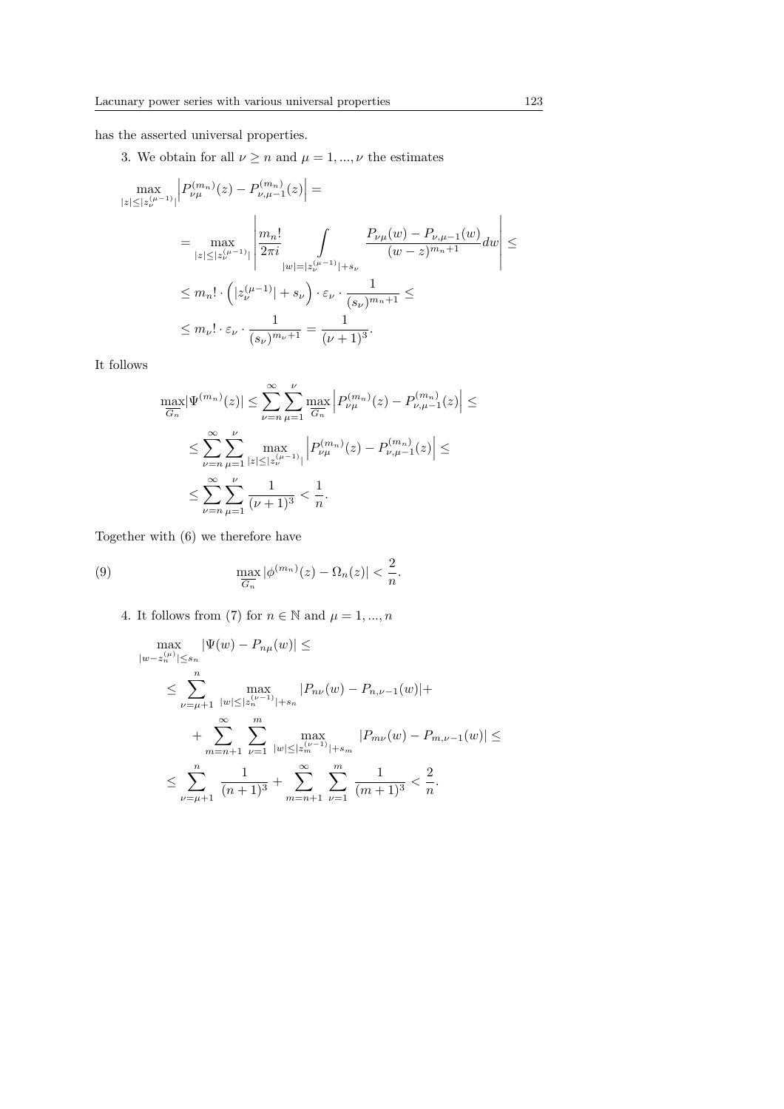has the asserted universal properties.

3. We obtain for all  $\nu \geq n$  and  $\mu = 1, ..., \nu$  the estimates

$$
\begin{split} \max_{|z|\leq |z_{\nu}^{(\mu-1)}|} \left|P_{\nu\mu}^{(m_n)}(z)-P_{\nu,\mu-1}^{(m_n)}(z)\right|&=\\ &=\max_{|z|\leq |z_{\nu}^{(\mu-1)}|} \left|\frac{m_n!}{2\pi i}\int\limits_{|w|=|z_{\nu}^{(\mu-1)}|+s_{\nu}}\frac{P_{\nu\mu}(w)-P_{\nu,\mu-1}(w)}{(w-z)^{m_n+1}}dw\right|\leq\\ &\leq m_n!\cdot\left(|z_{\nu}^{(\mu-1)}|+s_{\nu}\right)\cdot\varepsilon_{\nu}\cdot\frac{1}{(s_{\nu})^{m_n+1}}\leq\\ &\leq m_{\nu}!\cdot\varepsilon_{\nu}\cdot\frac{1}{(s_{\nu})^{m_{\nu}+1}}=\frac{1}{(\nu+1)^3}. \end{split}
$$

It follows

$$
\max_{\overline{G_n}} |\Psi^{(m_n)}(z)| \leq \sum_{\nu=n}^{\infty} \sum_{\mu=1}^{\nu} \max_{\overline{G_n}} \left| P_{\nu\mu}^{(m_n)}(z) - P_{\nu,\mu-1}^{(m_n)}(z) \right| \leq
$$
  

$$
\leq \sum_{\nu=n}^{\infty} \sum_{\mu=1}^{\nu} \max_{|z| \leq |z_{\nu}^{(\mu-1)}|} \left| P_{\nu\mu}^{(m_n)}(z) - P_{\nu,\mu-1}^{(m_n)}(z) \right| \leq
$$
  

$$
\leq \sum_{\nu=n}^{\infty} \sum_{\mu=1}^{\nu} \frac{1}{(\nu+1)^3} < \frac{1}{n}.
$$

Together with (6) we therefore have

(9) 
$$
\max_{\overline{G_n}} |\phi^{(m_n)}(z) - \Omega_n(z)| < \frac{2}{n}.
$$

4. It follows from (7) for  $n \in \mathbb{N}$  and  $\mu = 1, ..., n$ 

$$
\max_{|w-z_n^{(\mu)}| \le s_n} |\Psi(w) - P_{n\mu}(w)| \le
$$
\n
$$
\le \sum_{\nu=\mu+1}^n \max_{|w| \le |z_n^{(\nu-1)}|+s_n} |P_{n\nu}(w) - P_{n,\nu-1}(w)| +
$$
\n
$$
+ \sum_{m=n+1}^\infty \sum_{\nu=1}^m \max_{|w| \le |z_n^{(\nu-1)}|+s_m} |P_{m\nu}(w) - P_{m,\nu-1}(w)| \le
$$
\n
$$
\le \sum_{\nu=\mu+1}^n \frac{1}{(n+1)^3} + \sum_{m=n+1}^\infty \sum_{\nu=1}^m \frac{1}{(m+1)^3} < \frac{2}{n}.
$$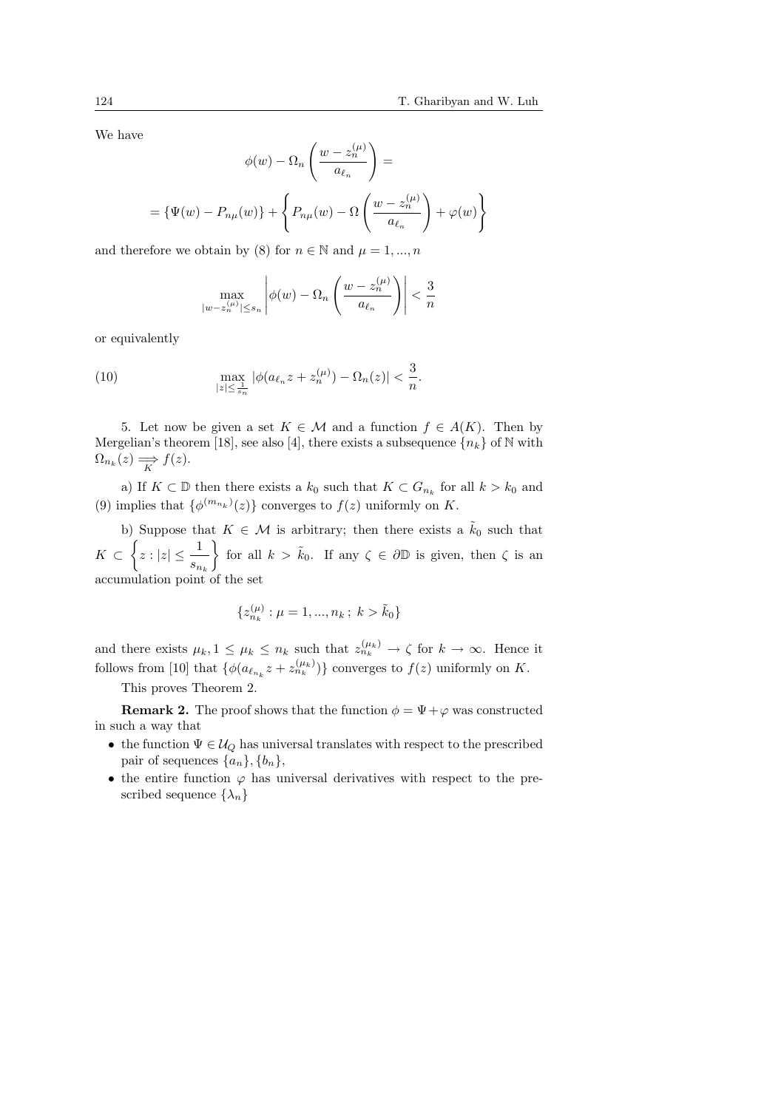We have

$$
\phi(w) - \Omega_n \left( \frac{w - z_n^{(\mu)}}{a_{\ell_n}} \right) =
$$
  
= { $\Psi(w) - P_{n\mu}(w)$ } + { $P_{n\mu}(w) - \Omega \left( \frac{w - z_n^{(\mu)}}{a_{\ell_n}} \right) + \varphi(w)$ }

and therefore we obtain by (8) for  $n \in \mathbb{N}$  and  $\mu = 1, ..., n$ 

$$
\max_{|w-z_n^{(\mu)}|\leq s_n}\left|\phi(w)-\Omega_n\left(\frac{w-z_n^{(\mu)}}{a_{\ell_n}}\right)\right|<\frac{3}{n}
$$

or equivalently

(10) 
$$
\max_{|z| \leq \frac{1}{s_n}} |\phi(a_{\ell_n}z + z_n^{(\mu)}) - \Omega_n(z)| < \frac{3}{n}.
$$

5. Let now be given a set  $K \in \mathcal{M}$  and a function  $f \in A(K)$ . Then by Mergelian's theorem [18], see also [4], there exists a subsequence  ${n_k}$  of N with  $\Omega_{n_k}(z) \Longrightarrow f(z).$ 

a) If  $K \subset \mathbb{D}$  then there exists a  $k_0$  such that  $K \subset G_{n_k}$  for all  $k > k_0$  and (9) implies that  $\{\phi^{(m_{n_k})}(z)\}$  converges to  $f(z)$  uniformly on K.

b) Suppose that  $K \in \mathcal{M}$  is arbitrary; then there exists a  $\tilde{k}_0$  such that  $K \subset \left\{ z : |z| \leq \frac{1}{\epsilon} \right\}$  $\frac{1}{s_{n_k}}$  for all  $k > \tilde{k}_0$ . If any  $\zeta \in \partial \mathbb{D}$  is given, then  $\zeta$  is an accumulation point of the set

$$
\{z_{n_k}^{(\mu)}: \mu=1,...,n_k\, ; \; k>\tilde{k}_0\}
$$

and there exists  $\mu_k, 1 \leq \mu_k \leq n_k$  such that  $z_{n_k}^{(\mu_k)} \to \zeta$  for  $k \to \infty$ . Hence it follows from [10] that  $\{\phi(a_{\ell_{n_k}}z + z_{n_k}^{(\mu_k)})\}$  converges to  $f(z)$  uniformly on K.

This proves Theorem 2.

**Remark 2.** The proof shows that the function  $\phi = \Psi + \varphi$  was constructed in such a way that

- the function  $\Psi \in \mathcal{U}_Q$  has universal translates with respect to the prescribed pair of sequences  $\{a_n\}, \{b_n\},\$
- the entire function  $\varphi$  has universal derivatives with respect to the prescribed sequence  $\{\lambda_n\}$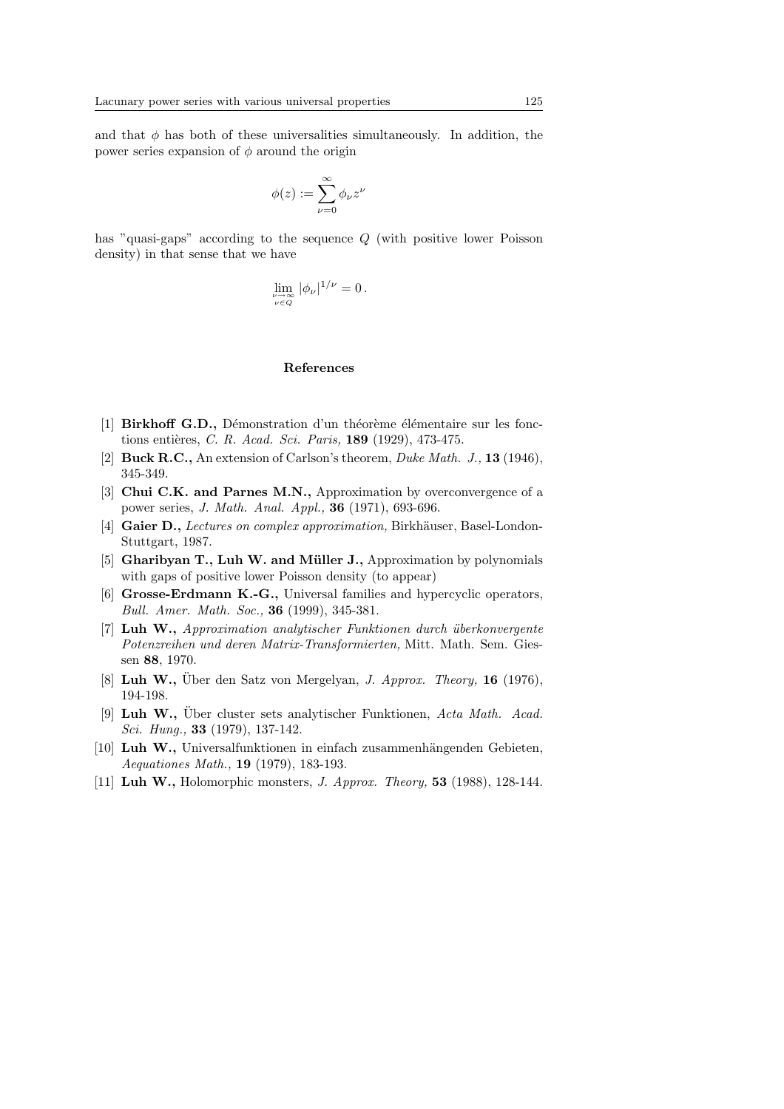and that  $\phi$  has both of these universalities simultaneously. In addition, the power series expansion of  $\phi$  around the origin

$$
\phi(z) := \sum_{\nu=0}^{\infty} \phi_{\nu} z^{\nu}
$$

has "quasi-gaps" according to the sequence Q (with positive lower Poisson density) in that sense that we have

$$
\lim_{\substack{\nu \to \infty \\ \nu \in Q}} |\phi_{\nu}|^{1/\nu} = 0.
$$

### References

- [1] Birkhoff G.D., Démonstration d'un théorème élémentaire sur les fonctions entières, C. R. Acad. Sci. Paris,  $189$  (1929), 473-475.
- [2] Buck R.C., An extension of Carlson's theorem, *Duke Math. J.*, 13 (1946), 345-349.
- [3] Chui C.K. and Parnes M.N., Approximation by overconvergence of a power series, J. Math. Anal. Appl., 36 (1971), 693-696.
- [4] Gaier D., Lectures on complex approximation, Birkhäuser, Basel-London-Stuttgart, 1987.
- [5] Gharibyan T., Luh W. and Müller J., Approximation by polynomials with gaps of positive lower Poisson density (to appear)
- [6] Grosse-Erdmann K.-G., Universal families and hypercyclic operators, Bull. Amer. Math. Soc., 36 (1999), 345-381.
- $[7]$  Luh W., Approximation analytischer Funktionen durch überkonvergente Potenzreihen und deren Matrix-Transformierten, Mitt. Math. Sem. Giessen 88, 1970.
- [8] Luh W., Uber den Satz von Mergelyan, *J. Approx. Theory*, **16** (1976), 194-198.
- [9] Luh W., Über cluster sets analytischer Funktionen, Acta Math. Acad. Sci. Hung., 33 (1979), 137-142.
- [10] Luh W., Universalfunktionen in einfach zusammenhängenden Gebieten, Aequationes Math., 19 (1979), 183-193.
- [11] Luh W., Holomorphic monsters, J. Approx. Theory, 53 (1988), 128-144.